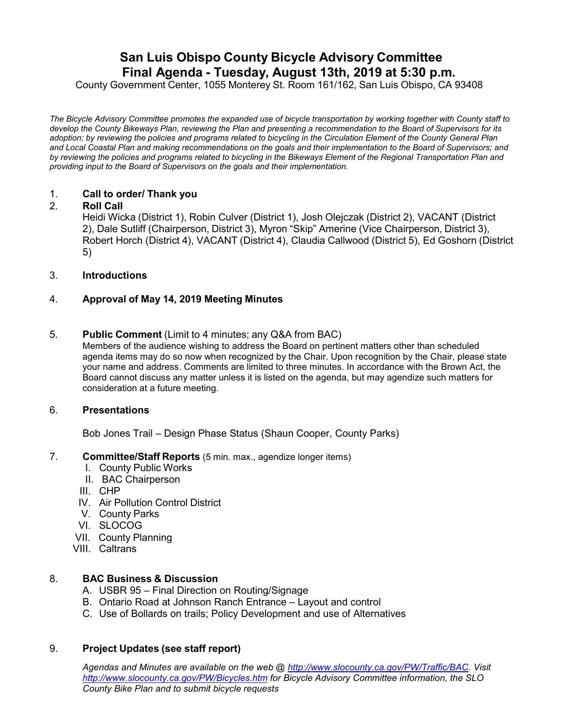# **San Luis Obispo County Bicycle Advisory Committee Final Agenda - Tuesday, August 13th, 2019 at 5:30 p.m.**

County Government Center, 1055 Monterey St. Room 161/162, San Luis Obispo, CA 93408

*The Bicycle Advisory Committee promotes the expanded use of bicycle transportation by working together with County staff to develop the County Bikeways Plan, reviewing the Plan and presenting a recommendation to the Board of Supervisors for its adoption; by reviewing the policies and programs related to bicycling in the Circulation Element of the County General Plan and Local Coastal Plan and making recommendations on the goals and their implementation to the Board of Supervisors; and by reviewing the policies and programs related to bicycling in the Bikeways Element of the Regional Transportation Plan and providing input to the Board of Supervisors on the goals and their implementation.*

## 1. **Call to order/ Thank you**

## 2. **Roll Call**

Heidi Wicka (District 1), Robin Culver (District 1), Josh Olejczak (District 2), VACANT (District 2), Dale Sutliff (Chairperson, District 3), Myron "Skip" Amerine (Vice Chairperson, District 3), Robert Horch (District 4), VACANT (District 4), Claudia Callwood (District 5), Ed Goshorn (District 5)

## 3. **Introductions**

## 4. **Approval of May 14, 2019 Meeting Minutes**

#### 5. **Public Comment** (Limit to 4 minutes; any Q&A from BAC)

Members of the audience wishing to address the Board on pertinent matters other than scheduled agenda items may do so now when recognized by the Chair. Upon recognition by the Chair, please state your name and address. Comments are limited to three minutes. In accordance with the Brown Act, the Board cannot discuss any matter unless it is listed on the agenda, but may agendize such matters for consideration at a future meeting.

#### 6. **Presentations**

Bob Jones Trail – Design Phase Status (Shaun Cooper, County Parks)

#### 7. **Committee/Staff Reports** (5 min. max., agendize longer items)

- I. County Public Works
- II. BAC Chairperson
- III. CHP
- IV. Air Pollution Control District
- V. County Parks
- VI. SLOCOG
- VII. County Planning
- VIII. Caltrans

#### 8. **BAC Business & Discussion**

- A. USBR 95 Final Direction on Routing/Signage
- B. Ontario Road at Johnson Ranch Entrance Layout and control
- C. Use of Bollards on trails; Policy Development and use of Alternatives

#### 9. **Project Updates (see staff report)**

*Agendas and Minutes are available on the web @ [http://www.slocounty.ca.gov/PW/Traffic/BAC.](http://www.slocounty.ca.gov/PW/Traffic/BAC) Visit <http://www.slocounty.ca.gov/PW/Bicycles.htm> for Bicycle Advisory Committee information, the SLO County Bike Plan and to submit bicycle requests*